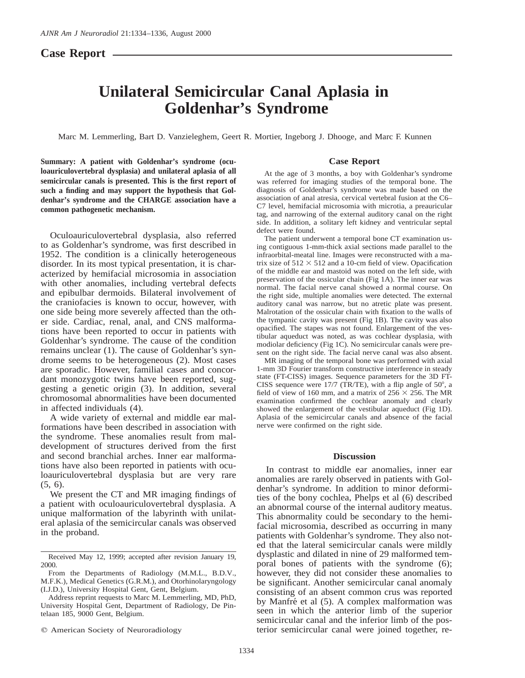## **Case Report**

# **Unilateral Semicircular Canal Aplasia in Goldenhar's Syndrome**

Marc M. Lemmerling, Bart D. Vanzieleghem, Geert R. Mortier, Ingeborg J. Dhooge, and Marc F. Kunnen

**Summary: A patient with Goldenhar's syndrome (oculoauriculovertebral dysplasia) and unilateral aplasia of all semicircular canals is presented. This is the first report of such a finding and may support the hypothesis that Goldenhar's syndrome and the CHARGE association have a common pathogenetic mechanism.**

Oculoauriculovertebral dysplasia, also referred to as Goldenhar's syndrome, was first described in 1952. The condition is a clinically heterogeneous disorder. In its most typical presentation, it is characterized by hemifacial microsomia in association with other anomalies, including vertebral defects and epibulbar dermoids. Bilateral involvement of the craniofacies is known to occur, however, with one side being more severely affected than the other side. Cardiac, renal, anal, and CNS malformations have been reported to occur in patients with Goldenhar's syndrome. The cause of the condition remains unclear (1). The cause of Goldenhar's syndrome seems to be heterogeneous (2). Most cases are sporadic. However, familial cases and concordant monozygotic twins have been reported, suggesting a genetic origin (3). In addition, several chromosomal abnormalities have been documented in affected individuals (4).

A wide variety of external and middle ear malformations have been described in association with the syndrome. These anomalies result from maldevelopment of structures derived from the first and second branchial arches. Inner ear malformations have also been reported in patients with oculoauriculovertebral dysplasia but are very rare (5, 6).

We present the CT and MR imaging findings of a patient with oculoauriculovertebral dysplasia. A unique malformation of the labyrinth with unilateral aplasia of the semicircular canals was observed in the proband.

 $©$  American Society of Neuroradiology

#### **Case Report**

At the age of 3 months, a boy with Goldenhar's syndrome was referred for imaging studies of the temporal bone. The diagnosis of Goldenhar's syndrome was made based on the association of anal atresia, cervical vertebral fusion at the C6– C7 level, hemifacial microsomia with microtia, a preauricular tag, and narrowing of the external auditory canal on the right side. In addition, a solitary left kidney and ventricular septal defect were found.

The patient underwent a temporal bone CT examination using contiguous 1-mm-thick axial sections made parallel to the infraorbital-meatal line. Images were reconstructed with a matrix size of  $512 \times 512$  and a 10-cm field of view. Opacification of the middle ear and mastoid was noted on the left side, with preservation of the ossicular chain (Fig 1A). The inner ear was normal. The facial nerve canal showed a normal course. On the right side, multiple anomalies were detected. The external auditory canal was narrow, but no atretic plate was present. Malrotation of the ossicular chain with fixation to the walls of the tympanic cavity was present (Fig 1B). The cavity was also opacified. The stapes was not found. Enlargement of the vestibular aqueduct was noted, as was cochlear dysplasia, with modiolar deficiency (Fig 1C). No semicircular canals were present on the right side. The facial nerve canal was also absent.

MR imaging of the temporal bone was performed with axial 1-mm 3D Fourier transform constructive interference in steady state (FT-CISS) images. Sequence parameters for the 3D FT-CISS sequence were  $17/7$  (TR/TE), with a flip angle of  $50^{\circ}$ , a field of view of 160 mm, and a matrix of  $256 \times 256$ . The MR examination confirmed the cochlear anomaly and clearly showed the enlargement of the vestibular aqueduct (Fig 1D). Aplasia of the semicircular canals and absence of the facial nerve were confirmed on the right side.

### **Discussion**

In contrast to middle ear anomalies, inner ear anomalies are rarely observed in patients with Goldenhar's syndrome. In addition to minor deformities of the bony cochlea, Phelps et al (6) described an abnormal course of the internal auditory meatus. This abnormality could be secondary to the hemifacial microsomia, described as occurring in many patients with Goldenhar's syndrome. They also noted that the lateral semicircular canals were mildly dysplastic and dilated in nine of 29 malformed temporal bones of patients with the syndrome (6); however, they did not consider these anomalies to be significant. Another semicircular canal anomaly consisting of an absent common crus was reported by Manfré et al (5). A complex malformation was seen in which the anterior limb of the superior semicircular canal and the inferior limb of the posterior semicircular canal were joined together, re-

Received May 12, 1999; accepted after revision January 19, 2000.

From the Departments of Radiology (M.M.L., B.D.V., M.F.K.), Medical Genetics (G.R.M.), and Otorhinolaryngology (I.J.D.), University Hospital Gent, Gent, Belgium.

Address reprint requests to Marc M. Lemmerling, MD, PhD, University Hospital Gent, Department of Radiology, De Pintelaan 185, 9000 Gent, Belgium.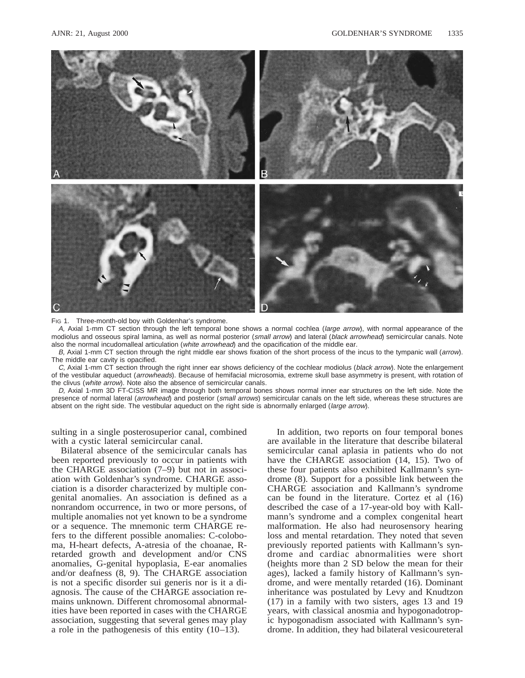

FIG 1. Three-month-old boy with Goldenhar's syndrome.

A, Axial 1-mm CT section through the left temporal bone shows a normal cochlea (large arrow), with normal appearance of the modiolus and osseous spiral lamina, as well as normal posterior (small arrow) and lateral (black arrowhead) semicircular canals. Note also the normal incudomalleal articulation (white arrowhead) and the opacification of the middle ear.

B, Axial 1-mm CT section through the right middle ear shows fixation of the short process of the incus to the tympanic wall (arrow). The middle ear cavity is opacified.

C, Axial 1-mm CT section through the right inner ear shows deficiency of the cochlear modiolus (black arrow). Note the enlargement of the vestibular aqueduct (arrowheads). Because of hemifacial microsomia, extreme skull base asymmetry is present, with rotation of the clivus (white arrow). Note also the absence of semicircular canals.

D, Axial 1-mm 3D FT-CISS MR image through both temporal bones shows normal inner ear structures on the left side. Note the presence of normal lateral (arrowhead) and posterior (small arrows) semicircular canals on the left side, whereas these structures are absent on the right side. The vestibular aqueduct on the right side is abnormally enlarged (large arrow).

sulting in a single posterosuperior canal, combined with a cystic lateral semicircular canal.

Bilateral absence of the semicircular canals has been reported previously to occur in patients with the CHARGE association (7–9) but not in association with Goldenhar's syndrome. CHARGE association is a disorder characterized by multiple congenital anomalies. An association is defined as a nonrandom occurrence, in two or more persons, of multiple anomalies not yet known to be a syndrome or a sequence. The mnemonic term CHARGE refers to the different possible anomalies: C-coloboma, H-heart defects, A-atresia of the choanae, Rretarded growth and development and/or CNS anomalies, G-genital hypoplasia, E-ear anomalies and/or deafness (8, 9). The CHARGE association is not a specific disorder sui generis nor is it a diagnosis. The cause of the CHARGE association remains unknown. Different chromosomal abnormalities have been reported in cases with the CHARGE association, suggesting that several genes may play a role in the pathogenesis of this entity (10–13).

In addition, two reports on four temporal bones are available in the literature that describe bilateral semicircular canal aplasia in patients who do not have the CHARGE association (14, 15). Two of these four patients also exhibited Kallmann's syndrome (8). Support for a possible link between the CHARGE association and Kallmann's syndrome can be found in the literature. Cortez et al (16) described the case of a 17-year-old boy with Kallmann's syndrome and a complex congenital heart malformation. He also had neurosensory hearing loss and mental retardation. They noted that seven previously reported patients with Kallmann's syndrome and cardiac abnormalities were short (heights more than 2 SD below the mean for their ages), lacked a family history of Kallmann's syndrome, and were mentally retarded (16). Dominant inheritance was postulated by Levy and Knudtzon (17) in a family with two sisters, ages 13 and 19 years, with classical anosmia and hypogonadotropic hypogonadism associated with Kallmann's syndrome. In addition, they had bilateral vesicoureteral